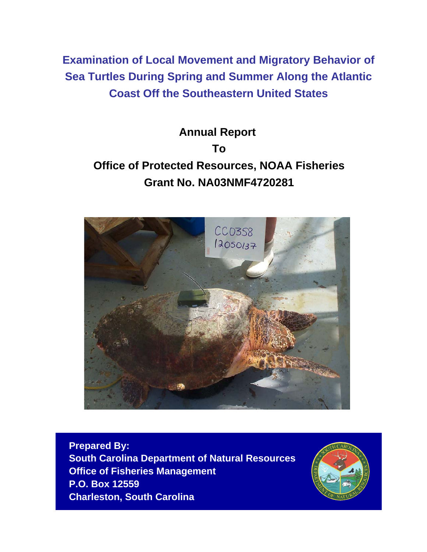**Examination of Local Movement and Migratory Behavior of Sea Turtles During Spring and Summer Along the Atlantic Coast Off the Southeastern United States**

# **Annual Report To Office of Protected Resources, NOAA Fisheries Grant No. NA03NMF4720281**



**Prepared By: South Carolina Department of Natural Resources Office of Fisheries Management P.O. Box 12559 Charleston, South Carolina**

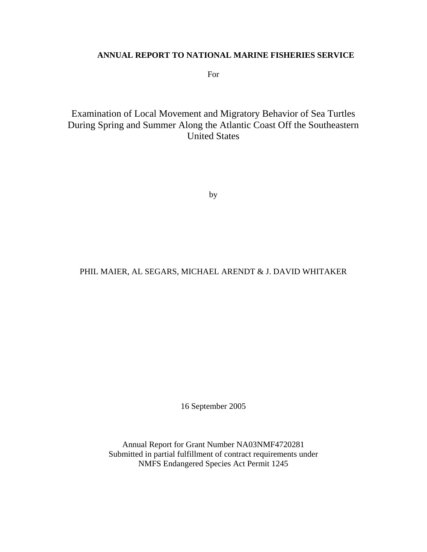# **ANNUAL REPORT TO NATIONAL MARINE FISHERIES SERVICE**

For

Examination of Local Movement and Migratory Behavior of Sea Turtles During Spring and Summer Along the Atlantic Coast Off the Southeastern United States

by

# PHIL MAIER, AL SEGARS, MICHAEL ARENDT & J. DAVID WHITAKER

16 September 2005

Annual Report for Grant Number NA03NMF4720281 Submitted in partial fulfillment of contract requirements under NMFS Endangered Species Act Permit 1245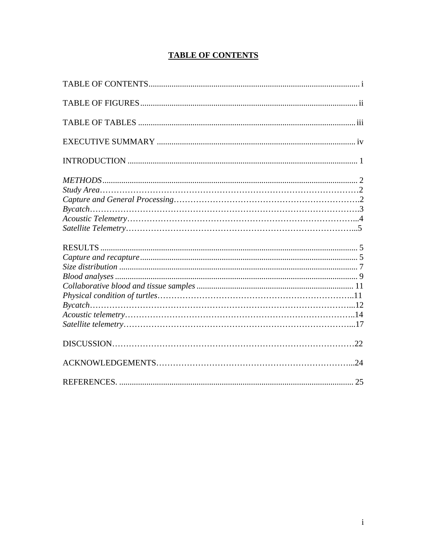# **TABLE OF CONTENTS**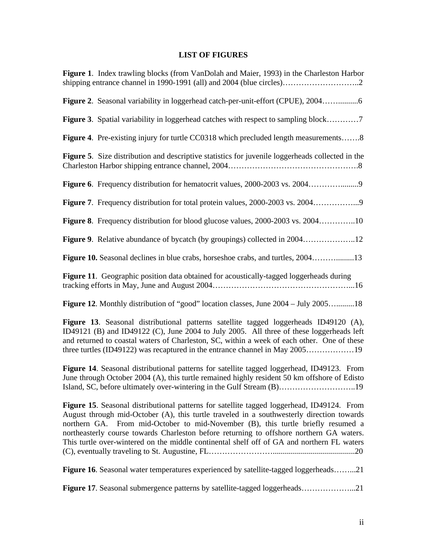# **LIST OF FIGURES**

| <b>Figure 1.</b> Index trawling blocks (from VanDolah and Maier, 1993) in the Charleston Harbor                                                                                                                                                                                                                                                                                                                                                                       |
|-----------------------------------------------------------------------------------------------------------------------------------------------------------------------------------------------------------------------------------------------------------------------------------------------------------------------------------------------------------------------------------------------------------------------------------------------------------------------|
| Figure 2. Seasonal variability in loggerhead catch-per-unit-effort (CPUE), 2004                                                                                                                                                                                                                                                                                                                                                                                       |
| <b>Figure 3.</b> Spatial variability in loggerhead catches with respect to sampling block7                                                                                                                                                                                                                                                                                                                                                                            |
| <b>Figure 4.</b> Pre-existing injury for turtle CC0318 which precluded length measurements8                                                                                                                                                                                                                                                                                                                                                                           |
| Figure 5. Size distribution and descriptive statistics for juvenile loggerheads collected in the                                                                                                                                                                                                                                                                                                                                                                      |
|                                                                                                                                                                                                                                                                                                                                                                                                                                                                       |
| Figure 7. Frequency distribution for total protein values, 2000-2003 vs. 20049                                                                                                                                                                                                                                                                                                                                                                                        |
| Figure 8. Frequency distribution for blood glucose values, 2000-2003 vs. 200410                                                                                                                                                                                                                                                                                                                                                                                       |
| <b>Figure 9.</b> Relative abundance of bycatch (by groupings) collected in 200412                                                                                                                                                                                                                                                                                                                                                                                     |
| Figure 10. Seasonal declines in blue crabs, horseshoe crabs, and turtles, 200413                                                                                                                                                                                                                                                                                                                                                                                      |
| Figure 11. Geographic position data obtained for acoustically-tagged loggerheads during                                                                                                                                                                                                                                                                                                                                                                               |
| <b>Figure 12.</b> Monthly distribution of "good" location classes, June 2004 – July 200518                                                                                                                                                                                                                                                                                                                                                                            |
| Figure 13. Seasonal distributional patterns satellite tagged loggerheads ID49120 (A),<br>ID49121 (B) and ID49122 (C), June 2004 to July 2005. All three of these loggerheads left<br>and returned to coastal waters of Charleston, SC, within a week of each other. One of these<br>three turtles (ID49122) was recaptured in the entrance channel in May 200519                                                                                                      |
| <b>Figure 14.</b> Seasonal distributional patterns for satellite tagged loggerhead, ID49123. From<br>June through October 2004 (A), this turtle remained highly resident 50 km offshore of Edisto<br>Island, SC, before ultimately over-wintering in the Gulf Stream (B)19                                                                                                                                                                                            |
| Figure 15. Seasonal distributional patterns for satellite tagged loggerhead, ID49124. From<br>August through mid-October (A), this turtle traveled in a southwesterly direction towards<br>northern GA. From mid-October to mid-November (B), this turtle briefly resumed a<br>northeasterly course towards Charleston before returning to offshore northern GA waters.<br>This turtle over-wintered on the middle continental shelf off of GA and northern FL waters |
| Figure 16. Seasonal water temperatures experienced by satellite-tagged loggerheads21                                                                                                                                                                                                                                                                                                                                                                                  |
| <b>Figure 17.</b> Seasonal submergence patterns by satellite-tagged loggerheads21                                                                                                                                                                                                                                                                                                                                                                                     |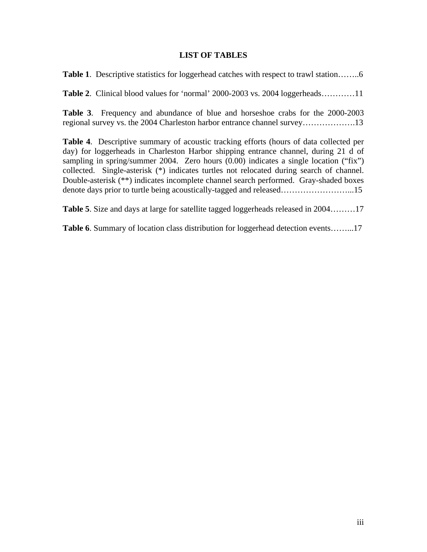## **LIST OF TABLES**

**Table 1**. Descriptive statistics for loggerhead catches with respect to trawl station……..6

**Table 2**. Clinical blood values for 'normal' 2000-2003 vs. 2004 loggerheads…………11

**Table 3**. Frequency and abundance of blue and horseshoe crabs for the 2000-2003 regional survey vs. the 2004 Charleston harbor entrance channel survey……………….13

**Table 4**. Descriptive summary of acoustic tracking efforts (hours of data collected per day) for loggerheads in Charleston Harbor shipping entrance channel, during 21 d of sampling in spring/summer 2004. Zero hours (0.00) indicates a single location ("fix") collected. Single-asterisk (\*) indicates turtles not relocated during search of channel. Double-asterisk (\*\*) indicates incomplete channel search performed. Gray-shaded boxes denote days prior to turtle being acoustically-tagged and released……………………...15

**Table 5**. Size and days at large for satellite tagged loggerheads released in 2004………17

**Table 6**. Summary of location class distribution for loggerhead detection events……...17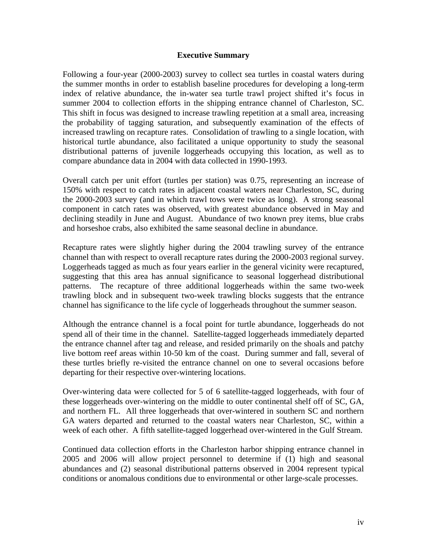#### **Executive Summary**

Following a four-year (2000-2003) survey to collect sea turtles in coastal waters during the summer months in order to establish baseline procedures for developing a long-term index of relative abundance, the in-water sea turtle trawl project shifted it's focus in summer 2004 to collection efforts in the shipping entrance channel of Charleston, SC. This shift in focus was designed to increase trawling repetition at a small area, increasing the probability of tagging saturation, and subsequently examination of the effects of increased trawling on recapture rates. Consolidation of trawling to a single location, with historical turtle abundance, also facilitated a unique opportunity to study the seasonal distributional patterns of juvenile loggerheads occupying this location, as well as to compare abundance data in 2004 with data collected in 1990-1993.

Overall catch per unit effort (turtles per station) was 0.75, representing an increase of 150% with respect to catch rates in adjacent coastal waters near Charleston, SC, during the 2000-2003 survey (and in which trawl tows were twice as long). A strong seasonal component in catch rates was observed, with greatest abundance observed in May and declining steadily in June and August. Abundance of two known prey items, blue crabs and horseshoe crabs, also exhibited the same seasonal decline in abundance.

Recapture rates were slightly higher during the 2004 trawling survey of the entrance channel than with respect to overall recapture rates during the 2000-2003 regional survey. Loggerheads tagged as much as four years earlier in the general vicinity were recaptured, suggesting that this area has annual significance to seasonal loggerhead distributional patterns. The recapture of three additional loggerheads within the same two-week trawling block and in subsequent two-week trawling blocks suggests that the entrance channel has significance to the life cycle of loggerheads throughout the summer season.

Although the entrance channel is a focal point for turtle abundance, loggerheads do not spend all of their time in the channel. Satellite-tagged loggerheads immediately departed the entrance channel after tag and release, and resided primarily on the shoals and patchy live bottom reef areas within 10-50 km of the coast. During summer and fall, several of these turtles briefly re-visited the entrance channel on one to several occasions before departing for their respective over-wintering locations.

Over-wintering data were collected for 5 of 6 satellite-tagged loggerheads, with four of these loggerheads over-wintering on the middle to outer continental shelf off of SC, GA, and northern FL. All three loggerheads that over-wintered in southern SC and northern GA waters departed and returned to the coastal waters near Charleston, SC, within a week of each other. A fifth satellite-tagged loggerhead over-wintered in the Gulf Stream.

Continued data collection efforts in the Charleston harbor shipping entrance channel in 2005 and 2006 will allow project personnel to determine if (1) high and seasonal abundances and (2) seasonal distributional patterns observed in 2004 represent typical conditions or anomalous conditions due to environmental or other large-scale processes.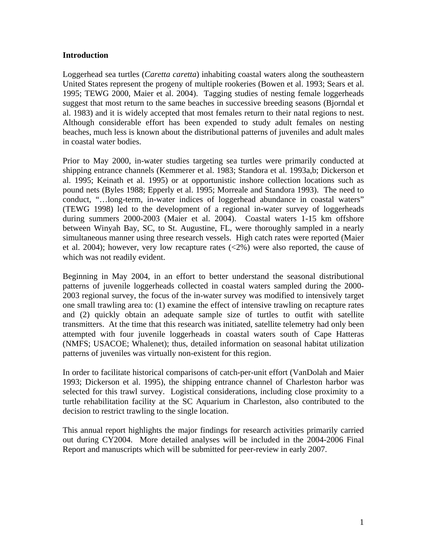### **Introduction**

Loggerhead sea turtles (*Caretta caretta*) inhabiting coastal waters along the southeastern United States represent the progeny of multiple rookeries (Bowen et al. 1993; Sears et al. 1995; TEWG 2000, Maier et al. 2004). Tagging studies of nesting female loggerheads suggest that most return to the same beaches in successive breeding seasons (Bjorndal et al. 1983) and it is widely accepted that most females return to their natal regions to nest. Although considerable effort has been expended to study adult females on nesting beaches, much less is known about the distributional patterns of juveniles and adult males in coastal water bodies.

Prior to May 2000, in-water studies targeting sea turtles were primarily conducted at shipping entrance channels (Kemmerer et al. 1983; Standora et al. 1993a,b; Dickerson et al. 1995; Keinath et al. 1995) or at opportunistic inshore collection locations such as pound nets (Byles 1988; Epperly et al. 1995; Morreale and Standora 1993). The need to conduct, "…long-term, in-water indices of loggerhead abundance in coastal waters" (TEWG 1998) led to the development of a regional in-water survey of loggerheads during summers 2000-2003 (Maier et al. 2004). Coastal waters 1-15 km offshore between Winyah Bay, SC, to St. Augustine, FL, were thoroughly sampled in a nearly simultaneous manner using three research vessels. High catch rates were reported (Maier et al. 2004); however, very low recapture rates (<2%) were also reported, the cause of which was not readily evident.

Beginning in May 2004, in an effort to better understand the seasonal distributional patterns of juvenile loggerheads collected in coastal waters sampled during the 2000- 2003 regional survey, the focus of the in-water survey was modified to intensively target one small trawling area to: (1) examine the effect of intensive trawling on recapture rates and (2) quickly obtain an adequate sample size of turtles to outfit with satellite transmitters. At the time that this research was initiated, satellite telemetry had only been attempted with four juvenile loggerheads in coastal waters south of Cape Hatteras (NMFS; USACOE; Whalenet); thus, detailed information on seasonal habitat utilization patterns of juveniles was virtually non-existent for this region.

In order to facilitate historical comparisons of catch-per-unit effort (VanDolah and Maier 1993; Dickerson et al. 1995), the shipping entrance channel of Charleston harbor was selected for this trawl survey. Logistical considerations, including close proximity to a turtle rehabilitation facility at the SC Aquarium in Charleston, also contributed to the decision to restrict trawling to the single location.

This annual report highlights the major findings for research activities primarily carried out during CY2004. More detailed analyses will be included in the 2004-2006 Final Report and manuscripts which will be submitted for peer-review in early 2007.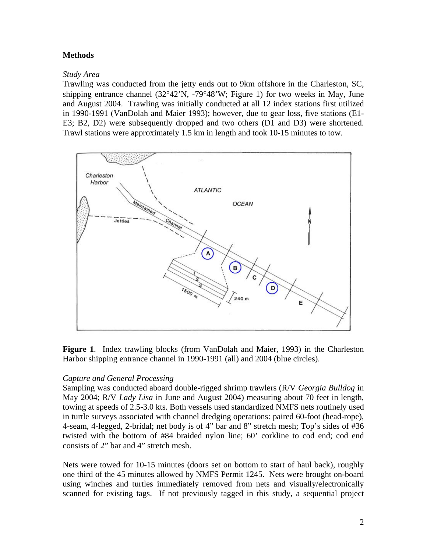# **Methods**

## *Study Area*

Trawling was conducted from the jetty ends out to 9km offshore in the Charleston, SC, shipping entrance channel (32°42'N, -79°48'W; Figure 1) for two weeks in May, June and August 2004. Trawling was initially conducted at all 12 index stations first utilized in 1990-1991 (VanDolah and Maier 1993); however, due to gear loss, five stations (E1- E3; B2, D2) were subsequently dropped and two others (D1 and D3) were shortened. Trawl stations were approximately 1.5 km in length and took 10-15 minutes to tow.



**Figure 1**. Index trawling blocks (from VanDolah and Maier, 1993) in the Charleston Harbor shipping entrance channel in 1990-1991 (all) and 2004 (blue circles).

# *Capture and General Processing*

Sampling was conducted aboard double-rigged shrimp trawlers (R/V *Georgia Bulldog* in May 2004; R/V *Lady Lisa* in June and August 2004) measuring about 70 feet in length, towing at speeds of 2.5-3.0 kts. Both vessels used standardized NMFS nets routinely used in turtle surveys associated with channel dredging operations: paired 60-foot (head-rope), 4-seam, 4-legged, 2-bridal; net body is of 4" bar and 8" stretch mesh; Top's sides of #36 twisted with the bottom of #84 braided nylon line; 60' corkline to cod end; cod end consists of 2" bar and 4" stretch mesh.

Nets were towed for 10-15 minutes (doors set on bottom to start of haul back), roughly one third of the 45 minutes allowed by NMFS Permit 1245. Nets were brought on-board using winches and turtles immediately removed from nets and visually/electronically scanned for existing tags. If not previously tagged in this study, a sequential project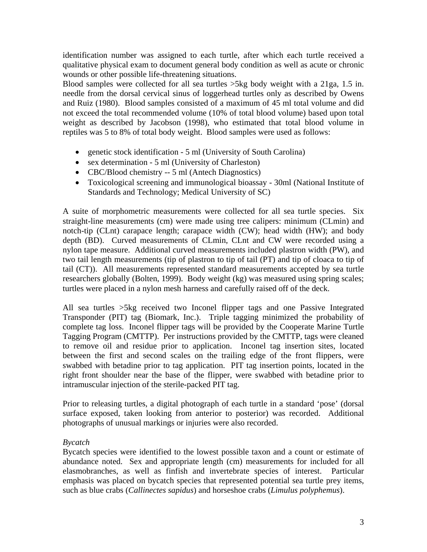identification number was assigned to each turtle, after which each turtle received a qualitative physical exam to document general body condition as well as acute or chronic wounds or other possible life-threatening situations.

Blood samples were collected for all sea turtles >5kg body weight with a 21ga, 1.5 in. needle from the dorsal cervical sinus of loggerhead turtles only as described by Owens and Ruiz (1980). Blood samples consisted of a maximum of 45 ml total volume and did not exceed the total recommended volume (10% of total blood volume) based upon total weight as described by Jacobson (1998), who estimated that total blood volume in reptiles was 5 to 8% of total body weight. Blood samples were used as follows:

- genetic stock identification 5 ml (University of South Carolina)
- sex determination 5 ml (University of Charleston)
- CBC/Blood chemistry -- 5 ml (Antech Diagnostics)
- Toxicological screening and immunological bioassay 30ml (National Institute of Standards and Technology; Medical University of SC)

A suite of morphometric measurements were collected for all sea turtle species. Six straight-line measurements (cm) were made using tree calipers: minimum (CLmin) and notch-tip (CLnt) carapace length; carapace width (CW); head width (HW); and body depth (BD). Curved measurements of CLmin, CLnt and CW were recorded using a nylon tape measure. Additional curved measurements included plastron width (PW), and two tail length measurements (tip of plastron to tip of tail (PT) and tip of cloaca to tip of tail (CT)). All measurements represented standard measurements accepted by sea turtle researchers globally (Bolten, 1999). Body weight (kg) was measured using spring scales; turtles were placed in a nylon mesh harness and carefully raised off of the deck.

All sea turtles >5kg received two Inconel flipper tags and one Passive Integrated Transponder (PIT) tag (Biomark, Inc.). Triple tagging minimized the probability of complete tag loss. Inconel flipper tags will be provided by the Cooperate Marine Turtle Tagging Program (CMTTP). Per instructions provided by the CMTTP, tags were cleaned to remove oil and residue prior to application. Inconel tag insertion sites, located between the first and second scales on the trailing edge of the front flippers, were swabbed with betadine prior to tag application. PIT tag insertion points, located in the right front shoulder near the base of the flipper, were swabbed with betadine prior to intramuscular injection of the sterile-packed PIT tag.

Prior to releasing turtles, a digital photograph of each turtle in a standard 'pose' (dorsal surface exposed, taken looking from anterior to posterior) was recorded. Additional photographs of unusual markings or injuries were also recorded.

# *Bycatch*

Bycatch species were identified to the lowest possible taxon and a count or estimate of abundance noted. Sex and appropriate length (cm) measurements for included for all elasmobranches, as well as finfish and invertebrate species of interest. Particular emphasis was placed on bycatch species that represented potential sea turtle prey items, such as blue crabs (*Callinectes sapidus*) and horseshoe crabs (*Limulus polyphemus*).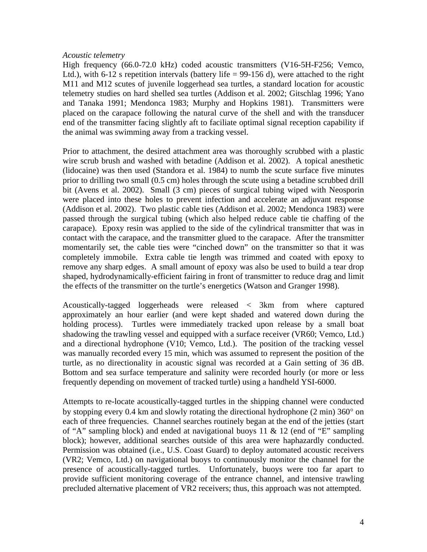#### *Acoustic telemetry*

High frequency (66.0-72.0 kHz) coded acoustic transmitters (V16-5H-F256; Vemco, Ltd.), with  $6-12$  s repetition intervals (battery life = 99-156 d), were attached to the right M11 and M12 scutes of juvenile loggerhead sea turtles, a standard location for acoustic telemetry studies on hard shelled sea turtles (Addison et al. 2002; Gitschlag 1996; Yano and Tanaka 1991; Mendonca 1983; Murphy and Hopkins 1981). Transmitters were placed on the carapace following the natural curve of the shell and with the transducer end of the transmitter facing slightly aft to faciliate optimal signal reception capability if the animal was swimming away from a tracking vessel.

Prior to attachment, the desired attachment area was thoroughly scrubbed with a plastic wire scrub brush and washed with betadine (Addison et al. 2002). A topical anesthetic (lidocaine) was then used (Standora et al. 1984) to numb the scute surface five minutes prior to drilling two small (0.5 cm) holes through the scute using a betadine scrubbed drill bit (Avens et al. 2002). Small (3 cm) pieces of surgical tubing wiped with Neosporin were placed into these holes to prevent infection and accelerate an adjuvant response (Addison et al. 2002). Two plastic cable ties (Addison et al. 2002; Mendonca 1983) were passed through the surgical tubing (which also helped reduce cable tie chaffing of the carapace). Epoxy resin was applied to the side of the cylindrical transmitter that was in contact with the carapace, and the transmitter glued to the carapace. After the transmitter momentarily set, the cable ties were "cinched down" on the transmitter so that it was completely immobile. Extra cable tie length was trimmed and coated with epoxy to remove any sharp edges. A small amount of epoxy was also be used to build a tear drop shaped, hydrodynamically-efficient fairing in front of transmitter to reduce drag and limit the effects of the transmitter on the turtle's energetics (Watson and Granger 1998).

Acoustically-tagged loggerheads were released < 3km from where captured approximately an hour earlier (and were kept shaded and watered down during the holding process). Turtles were immediately tracked upon release by a small boat shadowing the trawling vessel and equipped with a surface receiver (VR60; Vemco, Ltd.) and a directional hydrophone (V10; Vemco, Ltd.). The position of the tracking vessel was manually recorded every 15 min, which was assumed to represent the position of the turtle, as no directionality in acoustic signal was recorded at a Gain setting of 36 dB. Bottom and sea surface temperature and salinity were recorded hourly (or more or less frequently depending on movement of tracked turtle) using a handheld YSI-6000.

Attempts to re-locate acoustically-tagged turtles in the shipping channel were conducted by stopping every 0.4 km and slowly rotating the directional hydrophone (2 min) 360° on each of three frequencies. Channel searches routinely began at the end of the jetties (start of "A" sampling block) and ended at navigational buoys 11 & 12 (end of "E" sampling block); however, additional searches outside of this area were haphazardly conducted. Permission was obtained (i.e., U.S. Coast Guard) to deploy automated acoustic receivers (VR2; Vemco, Ltd.) on navigational buoys to continuously monitor the channel for the presence of acoustically-tagged turtles. Unfortunately, buoys were too far apart to provide sufficient monitoring coverage of the entrance channel, and intensive trawling precluded alternative placement of VR2 receivers; thus, this approach was not attempted.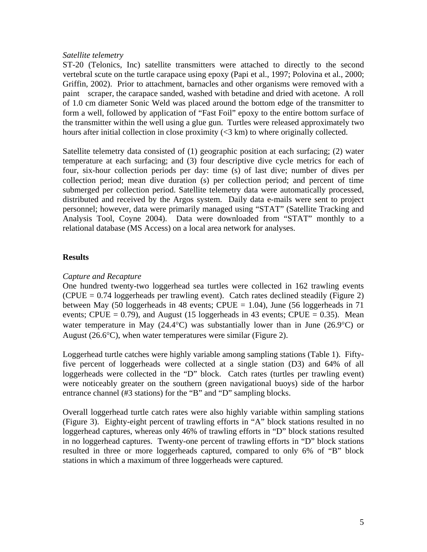#### *Satellite telemetry*

ST-20 (Telonics, Inc) satellite transmitters were attached to directly to the second vertebral scute on the turtle carapace using epoxy (Papi et al., 1997; Polovina et al., 2000; Griffin, 2002). Prior to attachment, barnacles and other organisms were removed with a paint scraper, the carapace sanded, washed with betadine and dried with acetone. A roll of 1.0 cm diameter Sonic Weld was placed around the bottom edge of the transmitter to form a well, followed by application of "Fast Foil" epoxy to the entire bottom surface of the transmitter within the well using a glue gun. Turtles were released approximately two hours after initial collection in close proximity (<3 km) to where originally collected.

Satellite telemetry data consisted of (1) geographic position at each surfacing; (2) water temperature at each surfacing; and (3) four descriptive dive cycle metrics for each of four, six-hour collection periods per day: time (s) of last dive; number of dives per collection period; mean dive duration (s) per collection period; and percent of time submerged per collection period. Satellite telemetry data were automatically processed, distributed and received by the Argos system. Daily data e-mails were sent to project personnel; however, data were primarily managed using "STAT" (Satellite Tracking and Analysis Tool, Coyne 2004). Data were downloaded from "STAT" monthly to a relational database (MS Access) on a local area network for analyses.

#### **Results**

## *Capture and Recapture*

One hundred twenty-two loggerhead sea turtles were collected in 162 trawling events  $(CPUE = 0.74$  loggerheads per trawling event). Catch rates declined steadily (Figure 2) between May (50 loggerheads in 48 events; CPUE =  $1.04$ ), June (56 loggerheads in 71 events; CPUE = 0.79), and August (15 loggerheads in 43 events; CPUE = 0.35). Mean water temperature in May  $(24.4^{\circ}C)$  was substantially lower than in June  $(26.9^{\circ}C)$  or August (26.6°C), when water temperatures were similar (Figure 2).

Loggerhead turtle catches were highly variable among sampling stations (Table 1). Fiftyfive percent of loggerheads were collected at a single station (D3) and 64% of all loggerheads were collected in the "D" block. Catch rates (turtles per trawling event) were noticeably greater on the southern (green navigational buoys) side of the harbor entrance channel (#3 stations) for the "B" and "D" sampling blocks.

Overall loggerhead turtle catch rates were also highly variable within sampling stations (Figure 3). Eighty-eight percent of trawling efforts in "A" block stations resulted in no loggerhead captures, whereas only 46% of trawling efforts in "D" block stations resulted in no loggerhead captures. Twenty-one percent of trawling efforts in "D" block stations resulted in three or more loggerheads captured, compared to only 6% of "B" block stations in which a maximum of three loggerheads were captured.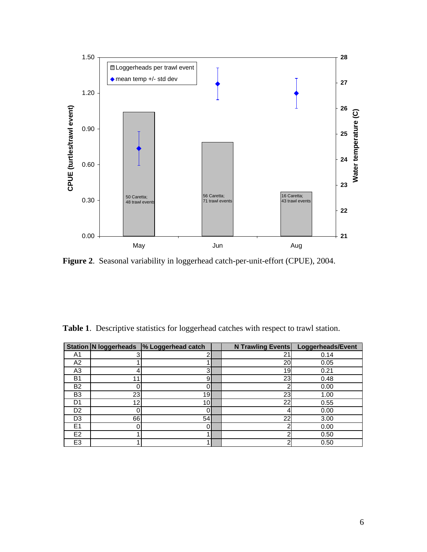

**Figure 2**. Seasonal variability in loggerhead catch-per-unit-effort (CPUE), 2004.

|  |  | Table 1. Descriptive statistics for loggerhead catches with respect to trawl station. |  |
|--|--|---------------------------------------------------------------------------------------|--|
|  |  |                                                                                       |  |

|                |    | Station N loggerheads % Loggerhead catch | <b>N Trawling Events</b> | Loggerheads/Event |
|----------------|----|------------------------------------------|--------------------------|-------------------|
| A1             |    | n                                        | 21                       | 0.14              |
| A2             |    |                                          | 20                       | 0.05              |
| A3             |    | 3                                        | 19                       | 0.21              |
| B <sub>1</sub> | 11 | 9                                        | 23                       | 0.48              |
| <b>B2</b>      |    | 0                                        |                          | 0.00              |
| B <sub>3</sub> | 23 | 19                                       | 23                       | 1.00              |
| D1             | 12 | 10                                       | 22                       | 0.55              |
| D2             |    |                                          |                          | 0.00              |
| D <sub>3</sub> | 66 | 54                                       | 22                       | 3.00              |
| E <sub>1</sub> | 0  | 0                                        |                          | 0.00              |
| E <sub>2</sub> |    |                                          |                          | 0.50              |
| E <sub>3</sub> |    |                                          |                          | 0.50              |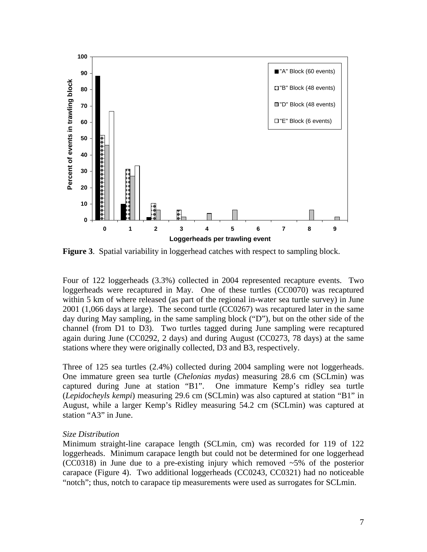

**Figure 3**. Spatial variability in loggerhead catches with respect to sampling block.

Four of 122 loggerheads (3.3%) collected in 2004 represented recapture events. Two loggerheads were recaptured in May. One of these turtles (CC0070) was recaptured within 5 km of where released (as part of the regional in-water sea turtle survey) in June 2001 (1,066 days at large). The second turtle (CC0267) was recaptured later in the same day during May sampling, in the same sampling block ("D"), but on the other side of the channel (from D1 to D3). Two turtles tagged during June sampling were recaptured again during June (CC0292, 2 days) and during August (CC0273, 78 days) at the same stations where they were originally collected, D3 and B3, respectively.

Three of 125 sea turtles (2.4%) collected during 2004 sampling were not loggerheads. One immature green sea turtle (*Chelonias mydas*) measuring 28.6 cm (SCLmin) was captured during June at station "B1". One immature Kemp's ridley sea turtle (*Lepidocheyls kempi*) measuring 29.6 cm (SCLmin) was also captured at station "B1" in August, while a larger Kemp's Ridley measuring 54.2 cm (SCLmin) was captured at station "A3" in June.

#### *Size Distribution*

Minimum straight-line carapace length (SCLmin, cm) was recorded for 119 of 122 loggerheads. Minimum carapace length but could not be determined for one loggerhead (CC0318) in June due to a pre-existing injury which removed ~5% of the posterior carapace (Figure 4). Two additional loggerheads (CC0243, CC0321) had no noticeable "notch"; thus, notch to carapace tip measurements were used as surrogates for SCLmin.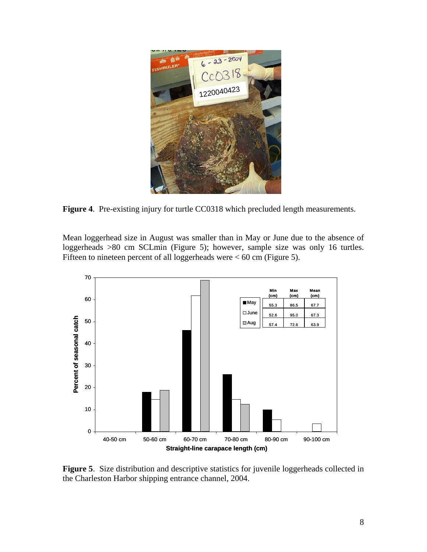

**Figure 4**. Pre-existing injury for turtle CC0318 which precluded length measurements.

Mean loggerhead size in August was smaller than in May or June due to the absence of loggerheads >80 cm SCLmin (Figure 5); however, sample size was only 16 turtles. Fifteen to nineteen percent of all loggerheads were  $< 60$  cm (Figure 5).



**Figure 5**. Size distribution and descriptive statistics for juvenile loggerheads collected in the Charleston Harbor shipping entrance channel, 2004.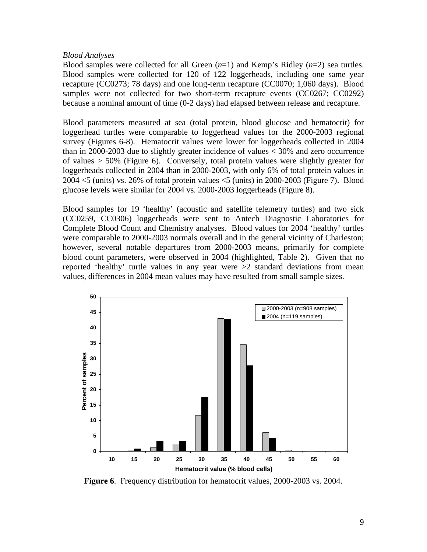#### *Blood Analyses*

Blood samples were collected for all Green  $(n=1)$  and Kemp's Ridley  $(n=2)$  sea turtles. Blood samples were collected for 120 of 122 loggerheads, including one same year recapture (CC0273; 78 days) and one long-term recapture (CC0070; 1,060 days). Blood samples were not collected for two short-term recapture events (CC0267; CC0292) because a nominal amount of time (0-2 days) had elapsed between release and recapture.

Blood parameters measured at sea (total protein, blood glucose and hematocrit) for loggerhead turtles were comparable to loggerhead values for the 2000-2003 regional survey (Figures 6-8). Hematocrit values were lower for loggerheads collected in 2004 than in 2000-2003 due to slightly greater incidence of values < 30% and zero occurrence of values > 50% (Figure 6). Conversely, total protein values were slightly greater for loggerheads collected in 2004 than in 2000-2003, with only 6% of total protein values in 2004 <5 (units) vs. 26% of total protein values <5 (units) in 2000-2003 (Figure 7). Blood glucose levels were similar for 2004 vs. 2000-2003 loggerheads (Figure 8).

Blood samples for 19 'healthy' (acoustic and satellite telemetry turtles) and two sick (CC0259, CC0306) loggerheads were sent to Antech Diagnostic Laboratories for Complete Blood Count and Chemistry analyses. Blood values for 2004 'healthy' turtles were comparable to 2000-2003 normals overall and in the general vicinity of Charleston; however, several notable departures from 2000-2003 means, primarily for complete blood count parameters, were observed in 2004 (highlighted, Table 2). Given that no reported 'healthy' turtle values in any year were >2 standard deviations from mean values, differences in 2004 mean values may have resulted from small sample sizes.



**Figure 6**. Frequency distribution for hematocrit values, 2000-2003 vs. 2004.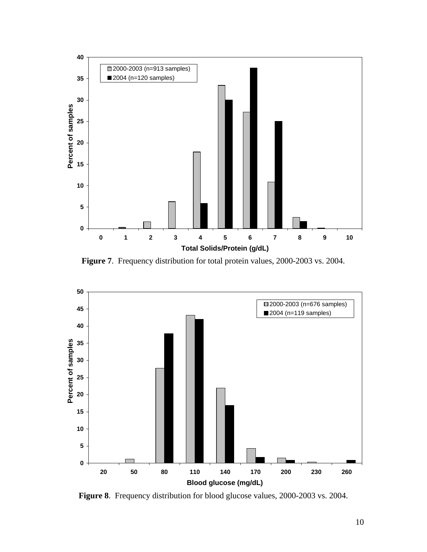

**Figure 7**. Frequency distribution for total protein values, 2000-2003 vs. 2004.



**Figure 8**. Frequency distribution for blood glucose values, 2000-2003 vs. 2004.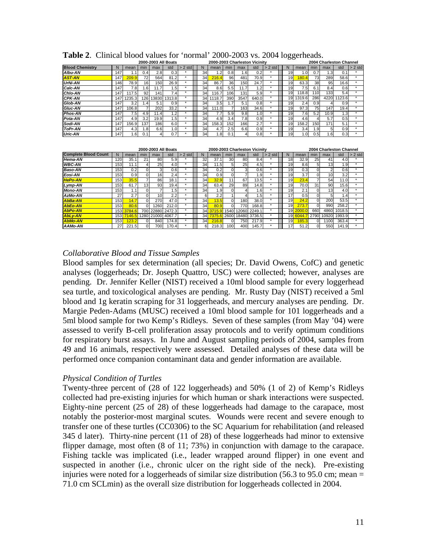|                        |      |                  |              |       | 2000-2003 All Boats |            |    | 2000-2003 Charleston Vicinity |     |      |                  |       |    |        |      |      | 2004 Charleston Channel |           |
|------------------------|------|------------------|--------------|-------|---------------------|------------|----|-------------------------------|-----|------|------------------|-------|----|--------|------|------|-------------------------|-----------|
| <b>Blood Chemistry</b> | N    | mean             | min          | max   | std                 | 2 std<br>> | N  | mean                          | min | max  | std              | 2 std |    | mean   | min  | max  | std                     | $> 2$ std |
| <b>Albu-AN</b>         | 147  |                  | 0.4          | 2.81  | 0.3 <sub>l</sub>    |            | 34 | $\cdot$ 2                     | 0.8 | 1.61 |                  |       | 19 | 1.01   | 0.7  | 1.3  | 0.1                     |           |
| <b>AST-AN</b>          | 147  | 209.9            | 72           | 564   | 81.2                |            | 34 | 216.4                         | 96  | 481  | 70.9             |       | 19 | 80.4   | 73   | 289  | 58.6                    |           |
| <b>UrNi-AN</b>         | 146  | 78.9             | 16           | 150   | 26.9                |            | 34 | 86.7                          | 36  | 150  | 24.7             |       | 19 | 63.3   | 38   | 95   | 16.6                    |           |
| Calc-AN                | 147  | 7.8              | 1.6          | 11.7  | ا5،                 |            | 34 | 8.6                           | 5.5 | 11.7 | 1.2              |       | 19 | 7.5    | 6.1  | 8.4  | 0.6                     |           |
| <b>Chlo-AN</b>         | 147  | 117.5            | 92           | 141   | 7.4                 |            | 34 | 116.7                         | 106 | 131  | 5.9              |       | 19 | 118.8  | 110  | 133  | 5.4                     |           |
| <b>CPK-AN</b>          | 147  | 1235.3           | 126          | 13830 | 1313.8              |            | 34 | 118.7                         | 390 | 3547 | 640.0            |       | 19 | 1319.6 | 286  | 4220 | 1123.6                  |           |
| Glob-AN                | 147  | 3.2 <sub>l</sub> | $.4^{\circ}$ | 5.1   | 0.9 <sub>l</sub>    |            | 34 | 3.5 <sub>l</sub>              |     | 5.1  | 0.8              |       | 19 | 2.4    | 0.9  |      | 0.9                     |           |
| Gluc-AN                | 147  | 106.8            |              | 202   | 33.2                |            | 34 | 111.0                         |     | 163  | 34.6             |       | 19 | 97.3   | 75   | 147  | 19.4                    |           |
| <b>Phos-AN</b>         | 1471 | 7.5              | 4.9          | 11.4  | $\cdot$ 2           |            | 34 |                               | 5.9 | 9.8  | 1.0 <sub>l</sub> |       | 19 | 7.6    | 5.2  | 10.9 | .3                      |           |
| Pota-AN                | 147  | 4.9              | 3.2          | 19.9  | ا5، ،               |            | 34 | 4.9                           | 3.4 | 7.8I | 0.9 <sub>l</sub> |       | 19 | 4.6    |      | 5.7  | 0.5                     |           |
| Sodi-AN                | 147  | 156.9            | 137          | 1861  | 6.0                 |            | 34 | 158.31                        | 152 | 166  | 2.7              |       | 19 | 158.2  | 150  | 171  | 5.1                     |           |
| ToPr-AN                | 147  | 4.3              | .8           | 6.6   | 10.1                |            | 34 | 4.7                           | 2.5 | 6.6  | 0.9              |       | 19 | 3.4    | .91  | 5    | 0.9                     |           |
| <b>Uric-AN</b>         | 147  | .61              | 0.1          |       | 0.7                 |            | 34 | .8 <sub>l</sub>               |     |      | 0.8              |       | 19 | 1.0    | 0.51 | .61  | 0.3                     |           |

**Table 2**. Clinical blood values for 'normal' 2000-2003 vs. 2004 loggerheads.

|                             | 2000-2003 All Boats |                  |          |                 |              |           |  |    | 2000-2003 Charleston Vicinity |          |       |              |           |  |                 | 2004 Charleston Channel |              |                 |                 |           |
|-----------------------------|---------------------|------------------|----------|-----------------|--------------|-----------|--|----|-------------------------------|----------|-------|--------------|-----------|--|-----------------|-------------------------|--------------|-----------------|-----------------|-----------|
| <b>Complete Blood Count</b> | N                   | mean             | min      | max             | std          | $> 2$ std |  |    | mean                          | min      | max   | std          | $> 2$ std |  |                 | mean                    | min          | max             | std             | $> 2$ std |
| <b>Hema-AN</b>              | 120                 | 35.              | 21       | 80              | 5.9          |           |  | 32 | 37.                           | 30       | 80    | 8.4          |           |  | 18              | 32.9                    | 25           | 41              | 4.0             | ÷         |
| <b>WBC-AN</b>               | 153                 | 11.1             |          | 25              | 4.0          | $\star$   |  | 34 | 11.5                          | 5        | 25    | 4.5          | ×         |  | 19              | 8.6                     | 51           | 13              | 1.9             | $\star$   |
| <b>Baso-AN</b>              | 153                 | 0.2              | 0        | 3               | 0.6          | $\star$   |  | 34 | 0.2                           | $\Omega$ | 3     | 0.6          | ٠         |  | 19              | 0.3                     |              | 2               | 0.6             | $\star$   |
| Eosi-AN                     | 153                 | 0.9 <sub>l</sub> | O.       | 16              | 2.4          | $\star$   |  | 34 | 0.9                           | $\Omega$ |       | 1.9          | ٠         |  | 19              | 3.7                     |              | 10              | 3.2             | $\star$   |
| <b>HePo-AN</b>              | 153 <sub>1</sub>    | 35.5             |          | 86              | 18.1         | $\star$   |  | 34 | 32.9                          | 11       | 67    | 13.5         | ٠         |  | 19 <sub>1</sub> | 23.4                    |              | 54              | 11.0            | $\star$   |
| Lymp-AN                     | 153                 | 61.7             | 13       | 93              | 19.4         | $\star$   |  | 34 | 63.4                          | 29       | 89    | 14.8         | ٠         |  | 19              | 70.0                    | 31           | 90              | 15.6            | ٠         |
| <b>Mono-AN</b>              | 153                 | 1.1              | 0        |                 | 1.51         | $\ddot{}$ |  | 34 | 1.9                           | $\Omega$ |       | 1.6          |           |  | 19              | 2.1                     |              | 13 <sup>°</sup> | 4.0             | ۰         |
| AzMo-AN                     | 271                 | 2.7              | ΩI       | 10 <sub>1</sub> | 2.2          | $\star$   |  | 6  | 2.2                           |          |       | 5۱.،         |           |  | 17              | 0.5                     |              | 5               | $\mathsf{I}$ .4 | $\star$   |
| <b>AbBa-AN</b>              | 153                 | 14.7             | $\Omega$ | 270             | 47.0         | $\star$   |  | 34 | 13.5                          | $\Omega$ | 180   | 38.0         | $\star$   |  | 19              | 24.2                    | $\Omega$     | 200             | 53.5            | ÷         |
| <b>AbEo-AN</b>              | 153                 | 80.6             | 0        | 1260            | 212.0        | $\star$   |  | 34 | 80.9                          | $\Omega$ | 770   | 168.8        | $\star$   |  | 19              | 273.                    | <sub>0</sub> | 990             | 258.2           | ٠         |
| <b>AbPo-AN</b>              | 153                 | 3784.6           | 700      |                 | 22880 2472.3 | $\star$   |  | 34 | 3715.9                        | 1540     | 12060 | 2249.1       | $\star$   |  | 19              | 2000.0                  | 660          | 4860            | 1018.5          | $\star$   |
| <b>AbLv-AN</b>              | 153                 | 146.5            | 1280     |                 | 21000 4067.7 | $\star$   |  | 34 | 7375.6                        | 2600     |       | 18480 3736.5 | ٠         |  | 19              | 6044                    | 2790         | 10920           | 1993.9          | ÷         |
| <b>AbMo-AN</b>              | 153                 | 123.2            | വ        | 840             | 174.8        | $\star$   |  | 34 | 216.8                         | $\Omega$ | 7501  | 217.9        | ٠         |  | 19              | 85.3                    | $^{\prime}$  | 1100            | 363.4           | $\star$   |
| AAMo-AN                     | 27                  | 221.5            | $\Omega$ | 700             | 170.4        | $\star$   |  | 6  | 218.3                         | 100      | 400   | 145.7        |           |  | 17              | 51.2                    | <sub>0</sub> | 550             | 141.9           |           |

#### *Collaborative Blood and Tissue Samples*

Blood samples for sex determination (all species; Dr. David Owens, CofC) and genetic analyses (loggerheads; Dr. Joseph Quattro, USC) were collected; however, analyses are pending. Dr. Jennifer Keller (NIST) received a 10ml blood sample for every loggerhead sea turtle, and toxicological analyses are pending. Mr. Rusty Day (NIST) received a 5ml blood and 1g keratin scraping for 31 loggerheads, and mercury analyses are pending. Dr. Margie Peden-Adams (MUSC) received a 10ml blood sample for 101 loggerheads and a 5ml blood sample for two Kemp's Ridleys. Seven of these samples (from May '04) were assessed to verify B-cell proliferation assay protocols and to verify optimum conditions for respiratory burst assays. In June and August sampling periods of 2004, samples from 49 and 16 animals, respectively were assessed. Detailed analyses of these data will be performed once companion contaminant data and gender information are available.

#### *Physical Condition of Turtles*

Twenty-three percent of (28 of 122 loggerheads) and 50% (1 of 2) of Kemp's Ridleys collected had pre-existing injuries for which human or shark interactions were suspected. Eighty-nine percent (25 of 28) of these loggerheads had damage to the carapace, most notably the posterior-most marginal scutes. Wounds were recent and severe enough to transfer one of these turtles (CC0306) to the SC Aquarium for rehabilitation (and released 345 d later). Thirty-nine percent (11 of 28) of these loggerheads had minor to extensive flipper damage, most often (8 of 11; 73%) in conjunction with damage to the carapace. Fishing tackle was implicated (i.e., leader wrapped around flipper) in one event and suspected in another (i.e., chronic ulcer on the right side of the neck). Pre-existing injuries were noted for a loggerheads of similar size distribution (56.3 to 95.0 cm; mean = 71.0 cm SCLmin) as the overall size distribution for loggerheads collected in 2004.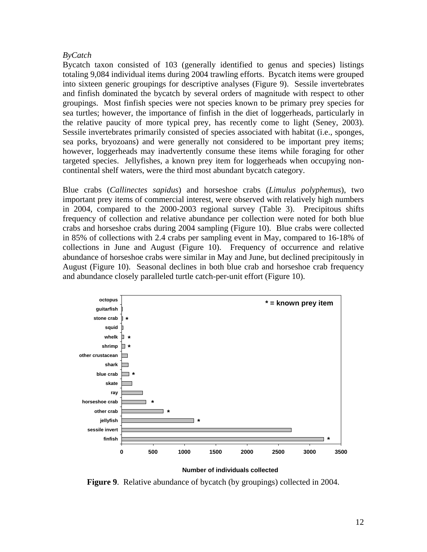#### *ByCatch*

Bycatch taxon consisted of 103 (generally identified to genus and species) listings totaling 9,084 individual items during 2004 trawling efforts. Bycatch items were grouped into sixteen generic groupings for descriptive analyses (Figure 9). Sessile invertebrates and finfish dominated the bycatch by several orders of magnitude with respect to other groupings. Most finfish species were not species known to be primary prey species for sea turtles; however, the importance of finfish in the diet of loggerheads, particularly in the relative paucity of more typical prey, has recently come to light (Seney, 2003). Sessile invertebrates primarily consisted of species associated with habitat (i.e., sponges, sea porks, bryozoans) and were generally not considered to be important prey items; however, loggerheads may inadvertently consume these items while foraging for other targeted species. Jellyfishes, a known prey item for loggerheads when occupying noncontinental shelf waters, were the third most abundant bycatch category.

Blue crabs (*Callinectes sapidus*) and horseshoe crabs (*Limulus polyphemus*), two important prey items of commercial interest, were observed with relatively high numbers in 2004, compared to the 2000-2003 regional survey (Table 3). Precipitous shifts frequency of collection and relative abundance per collection were noted for both blue crabs and horseshoe crabs during 2004 sampling (Figure 10). Blue crabs were collected in 85% of collections with 2.4 crabs per sampling event in May, compared to 16-18% of collections in June and August (Figure 10). Frequency of occurrence and relative abundance of horseshoe crabs were similar in May and June, but declined precipitously in August (Figure 10). Seasonal declines in both blue crab and horseshoe crab frequency and abundance closely paralleled turtle catch-per-unit effort (Figure 10).



**Number of individuals collected**

**Figure 9**. Relative abundance of bycatch (by groupings) collected in 2004.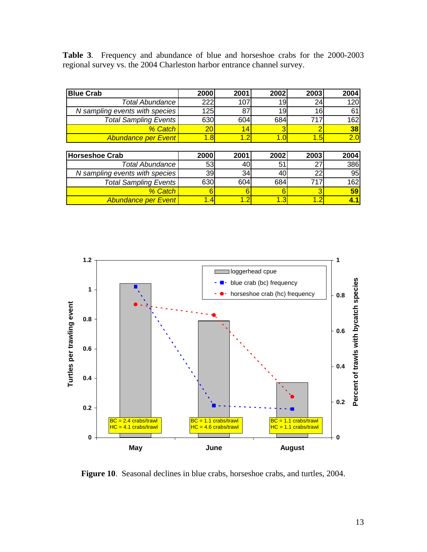**Table 3**. Frequency and abundance of blue and horseshoe crabs for the 2000-2003 regional survey vs. the 2004 Charleston harbor entrance channel survey.

| <b>Blue Crab</b>               | 2000 | 2001 | 2002 | 2003 | 2004 |
|--------------------------------|------|------|------|------|------|
| <b>Total Abundance</b>         | 222  | 107  | 19   | 24   | 120  |
| N sampling events with species | 125  | 87   | 19   | 16   | 61   |
| <b>Total Sampling Events</b>   | 630  | 604  | 684  | 717  | 162  |
| % Catch                        | 20   | 14   |      | 2    | 38   |
| <b>Abundance per Event</b>     | 1.8  | 1.2  | 1.0  | 1.5  | 2.0  |
|                                |      |      |      |      |      |
| <b>Horseshoe Crab</b>          | 2000 | 2001 | 2002 | 2003 | 2004 |
| <b>Total Abundance</b>         | 53   | 40   | 51   | 27   | 386  |
| N sampling events with species | 39   | 34   | 40   | 22   | 95   |
| <b>Total Sampling Events</b>   | 630  | 604  | 684  | 717  | 162  |
| % Catch                        | 6    | 6    | 6    | 3    | 59   |
| <b>Abundance per Event</b>     | 1.4  | 1.2  | 1.3  | 1.2  | 4.1  |



**Figure 10**. Seasonal declines in blue crabs, horseshoe crabs, and turtles, 2004.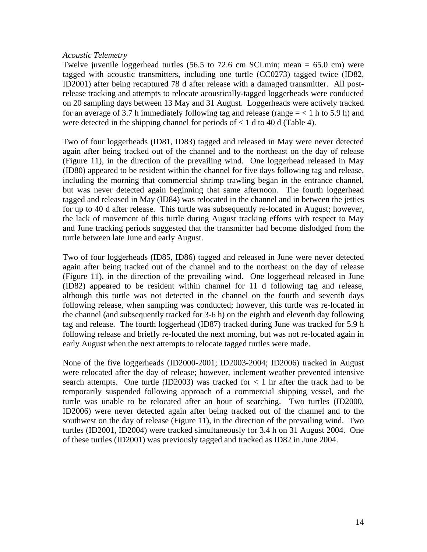#### *Acoustic Telemetry*

Twelve juvenile loggerhead turtles  $(56.5 \text{ to } 72.6 \text{ cm } \text{SCLmin}; \text{ mean } = 65.0 \text{ cm})$  were tagged with acoustic transmitters, including one turtle (CC0273) tagged twice (ID82, ID2001) after being recaptured 78 d after release with a damaged transmitter. All postrelease tracking and attempts to relocate acoustically-tagged loggerheads were conducted on 20 sampling days between 13 May and 31 August. Loggerheads were actively tracked for an average of 3.7 h immediately following tag and release (range  $=$  < 1 h to 5.9 h) and were detected in the shipping channel for periods of  $< 1$  d to 40 d (Table 4).

Two of four loggerheads (ID81, ID83) tagged and released in May were never detected again after being tracked out of the channel and to the northeast on the day of release (Figure 11), in the direction of the prevailing wind. One loggerhead released in May (ID80) appeared to be resident within the channel for five days following tag and release, including the morning that commercial shrimp trawling began in the entrance channel, but was never detected again beginning that same afternoon. The fourth loggerhead tagged and released in May (ID84) was relocated in the channel and in between the jetties for up to 40 d after release. This turtle was subsequently re-located in August; however, the lack of movement of this turtle during August tracking efforts with respect to May and June tracking periods suggested that the transmitter had become dislodged from the turtle between late June and early August.

Two of four loggerheads (ID85, ID86) tagged and released in June were never detected again after being tracked out of the channel and to the northeast on the day of release (Figure 11), in the direction of the prevailing wind. One loggerhead released in June (ID82) appeared to be resident within channel for 11 d following tag and release, although this turtle was not detected in the channel on the fourth and seventh days following release, when sampling was conducted; however, this turtle was re-located in the channel (and subsequently tracked for 3-6 h) on the eighth and eleventh day following tag and release. The fourth loggerhead (ID87) tracked during June was tracked for 5.9 h following release and briefly re-located the next morning, but was not re-located again in early August when the next attempts to relocate tagged turtles were made.

None of the five loggerheads (ID2000-2001; ID2003-2004; ID2006) tracked in August were relocated after the day of release; however, inclement weather prevented intensive search attempts. One turtle (ID2003) was tracked for  $\lt 1$  hr after the track had to be temporarily suspended following approach of a commercial shipping vessel, and the turtle was unable to be relocated after an hour of searching. Two turtles (ID2000, ID2006) were never detected again after being tracked out of the channel and to the southwest on the day of release (Figure 11), in the direction of the prevailing wind. Two turtles (ID2001, ID2004) were tracked simultaneously for 3.4 h on 31 August 2004. One of these turtles (ID2001) was previously tagged and tracked as ID82 in June 2004.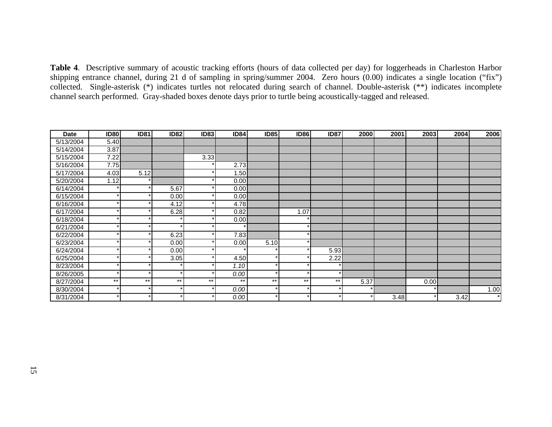**Table 4**. Descriptive summary of acoustic tracking efforts (hours of data collected per day) for loggerheads in Charleston Harbor shipping entrance channel, during 21 d of sampling in spring/summer 2004. Zero hours (0.00) indicates a single location ("fix") collected. Single-asterisk (\*) indicates turtles not relocated during search of channel. Double-asterisk (\*\*) indicates incomplete channel search performed. Gray-shaded boxes denote days prior to turtle being acoustically-tagged and released.

| <b>Date</b> | <b>ID80</b> | <b>ID81</b> | <b>ID82</b> | <b>ID83</b> | <b>ID84</b> | <b>ID85</b> | <b>ID86</b> | <b>ID87</b> | 2000 | 2001 | 2003 | 2004 | 2006    |
|-------------|-------------|-------------|-------------|-------------|-------------|-------------|-------------|-------------|------|------|------|------|---------|
| 5/13/2004   | 5.40        |             |             |             |             |             |             |             |      |      |      |      |         |
| 5/14/2004   | 3.87        |             |             |             |             |             |             |             |      |      |      |      |         |
| 5/15/2004   | 7.22        |             |             | 3.33        |             |             |             |             |      |      |      |      |         |
| 5/16/2004   | 7.75        |             |             |             | 2.73        |             |             |             |      |      |      |      |         |
| 5/17/2004   | 4.03        | 5.12        |             |             | 1.50        |             |             |             |      |      |      |      |         |
| 5/20/2004   | 1.12        |             |             |             | 0.00        |             |             |             |      |      |      |      |         |
| 6/14/2004   |             |             | 5.67        |             | 0.00        |             |             |             |      |      |      |      |         |
| 6/15/2004   |             |             | 0.00        |             | 0.00        |             |             |             |      |      |      |      |         |
| 6/16/2004   |             |             | 4.12        |             | 4.78        |             |             |             |      |      |      |      |         |
| 6/17/2004   |             |             | 6.28        |             | 0.82        |             | 1.07        |             |      |      |      |      |         |
| 6/18/2004   |             |             |             |             | 0.00        |             |             |             |      |      |      |      |         |
| 6/21/2004   |             |             |             |             |             |             |             |             |      |      |      |      |         |
| 6/22/2004   |             |             | 6.23        |             | 7.83        |             |             |             |      |      |      |      |         |
| 6/23/2004   |             |             | 0.00        |             | 0.00        | 5.10        |             |             |      |      |      |      |         |
| 6/24/2004   |             |             | 0.00        |             |             |             |             | 5.93        |      |      |      |      |         |
| 6/25/2004   |             |             | 3.05        |             | 4.50        |             |             | 2.22        |      |      |      |      |         |
| 8/23/2004   |             |             |             |             | 1.10        |             |             |             |      |      |      |      |         |
| 8/26/2005   |             |             |             |             | 0.00        |             |             |             |      |      |      |      |         |
| 8/27/2004   | $***$       | $***$       | $***$       | $***$       | $***$       | $***$       | $***$       | $***$       | 5.37 |      | 0.00 |      |         |
| 8/30/2004   |             |             |             |             | 0.00        |             |             |             |      |      |      |      | 1.00    |
| 8/31/2004   |             | ÷           |             |             | 0.00        |             |             |             |      | 3.48 |      | 3.42 | $\star$ |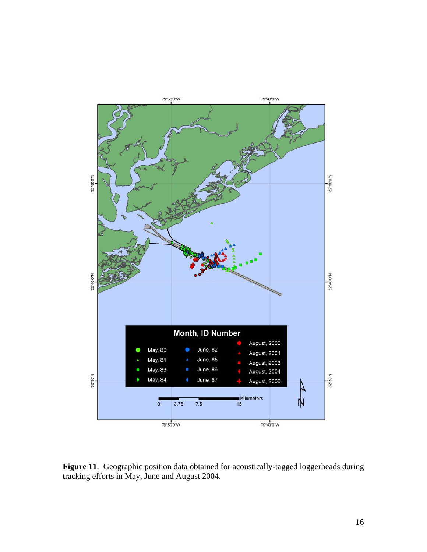

**Figure 11**. Geographic position data obtained for acoustically-tagged loggerheads during tracking efforts in May, June and August 2004.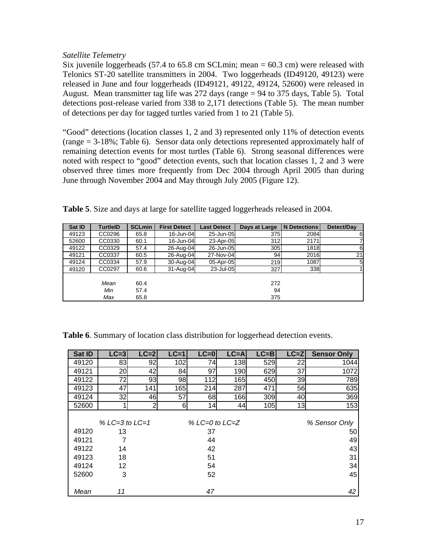#### *Satellite Telemetry*

Six juvenile loggerheads  $(57.4 \text{ to } 65.8 \text{ cm}$  SCLmin; mean = 60.3 cm) were released with Telonics ST-20 satellite transmitters in 2004. Two loggerheads (ID49120, 49123) were released in June and four loggerheads (ID49121, 49122, 49124, 52600) were released in August. Mean transmitter tag life was 272 days (range = 94 to 375 days, Table 5). Total detections post-release varied from 338 to 2,171 detections (Table 5). The mean number of detections per day for tagged turtles varied from 1 to 21 (Table 5).

"Good" detections (location classes 1, 2 and 3) represented only 11% of detection events (range = 3-18%; Table 6). Sensor data only detections represented approximately half of remaining detection events for most turtles (Table 6). Strong seasonal differences were noted with respect to "good" detection events, such that location classes 1, 2 and 3 were observed three times more frequently from Dec 2004 through April 2005 than during June through November 2004 and May through July 2005 (Figure 12).

| Sat ID | <b>TurtleID</b> | <b>SCLmin</b> | <b>First Detect</b> | <b>Last Detect</b> | Days at Large | <b>N</b> Detections | Detect/Day |
|--------|-----------------|---------------|---------------------|--------------------|---------------|---------------------|------------|
| 49123  | CC0296          | 65.8          | 16-Jun-04           | 25-Jun-05          | 375           | 2084                | 6          |
| 52600  | CC0330          | 60.1          | 16-Jun-04           | 23-Apr-05          | 312           | 2171                |            |
| 49122  | CC0329          | 57.4          | 26-Aug-04           | 26-Jun-05          | 305           | 1818                | 6          |
| 49121  | CC0337          | 60.5          | 26-Aug-04           | 27-Nov-04          | 94            | 2016                | 21         |
| 49124  | CC0334          | 57.9          | 30-Aug-04           | 05-Apr-05          | 219           | 1087                | 5          |
| 49120  | CC0297          | 60.6          | $31$ -Aug-04        | 23-Jul-05          | 327           | 338                 |            |
|        |                 |               |                     |                    |               |                     |            |
|        | Mean            | 60.4          |                     |                    | 272           |                     |            |
|        | Min             | 57.4          |                     |                    | 94            |                     |            |
|        | Max             | 65.8          |                     |                    | 375           |                     |            |

**Table 5**. Size and days at large for satellite tagged loggerheads released in 2004.

| Sat ID | $LC = 3$           | $LC = 2$       | $LC=1$        | $LC = 0$ | $LC = A$ | $LC = B$ | $LC = Z$ | <b>Sensor Only</b> |  |  |
|--------|--------------------|----------------|---------------|----------|----------|----------|----------|--------------------|--|--|
| 49120  | 83                 | 92             | 102           | 74       | 138      | 529      | 22       | 1044               |  |  |
| 49121  | 20                 | 42             | 84            | 97       | 190      | 629      | 37       | 1072               |  |  |
| 49122  | 72                 | 93             | 98            | 112      | 165      | 450      | 39       | 789                |  |  |
| 49123  | 47                 | 141            | 165           | 214      | 287      | 471      | 56       | 635                |  |  |
| 49124  | 32                 | 46             | 57            | 68       | 166      | 309      | 40       | 369                |  |  |
| 52600  |                    | $\overline{2}$ | 6             | 14       | 44       | 105      | 13       | 153                |  |  |
|        |                    |                |               |          |          |          |          |                    |  |  |
|        | $% LC=3$ to $LC=1$ |                | % Sensor Only |          |          |          |          |                    |  |  |
| 49120  | 13                 |                |               | 37       |          |          |          | 50 <sub>1</sub>    |  |  |
| 49121  |                    |                |               | 44       |          |          |          | 49                 |  |  |
| 49122  | 14                 |                |               | 42       |          |          |          | 43                 |  |  |
| 49123  | 18                 |                |               | 51       |          |          |          | 31                 |  |  |
| 49124  | 12                 |                |               | 54       |          |          |          | 34                 |  |  |
| 52600  | 3                  |                |               | 52       |          |          |          | 45                 |  |  |
|        |                    |                |               |          |          |          |          |                    |  |  |
| Mean   | 11                 |                |               | 47       |          |          |          | 42                 |  |  |

**Table 6**. Summary of location class distribution for loggerhead detection events.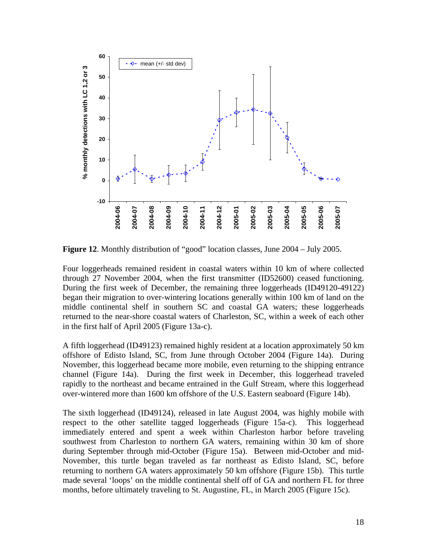

**Figure 12**. Monthly distribution of "good" location classes, June 2004 – July 2005.

Four loggerheads remained resident in coastal waters within 10 km of where collected through 27 November 2004, when the first transmitter (ID52600) ceased functioning. During the first week of December, the remaining three loggerheads (ID49120-49122) began their migration to over-wintering locations generally within 100 km of land on the middle continental shelf in southern SC and coastal GA waters; these loggerheads returned to the near-shore coastal waters of Charleston, SC, within a week of each other in the first half of April 2005 (Figure 13a-c).

A fifth loggerhead (ID49123) remained highly resident at a location approximately 50 km offshore of Edisto Island, SC, from June through October 2004 (Figure 14a). During November, this loggerhead became more mobile, even returning to the shipping entrance channel (Figure 14a). During the first week in December, this loggerhead traveled rapidly to the northeast and became entrained in the Gulf Stream, where this loggerhead over-wintered more than 1600 km offshore of the U.S. Eastern seaboard (Figure 14b).

The sixth loggerhead (ID49124), released in late August 2004, was highly mobile with respect to the other satellite tagged loggerheads (Figure 15a-c). This loggerhead immediately entered and spent a week within Charleston harbor before traveling southwest from Charleston to northern GA waters, remaining within 30 km of shore during September through mid-October (Figure 15a). Between mid-October and mid-November, this turtle began traveled as far northeast as Edisto Island, SC, before returning to northern GA waters approximately 50 km offshore (Figure 15b). This turtle made several 'loops' on the middle continental shelf off of GA and northern FL for three months, before ultimately traveling to St. Augustine, FL, in March 2005 (Figure 15c).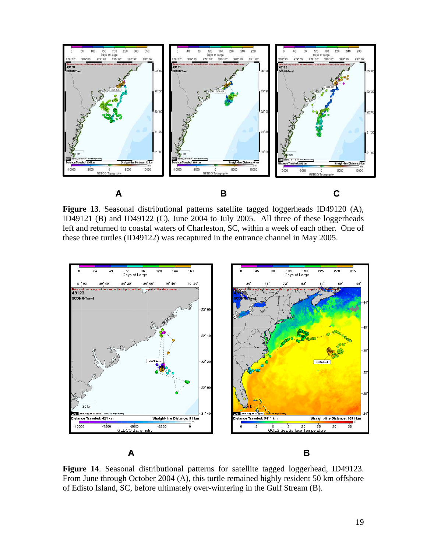

**Figure 13**. Seasonal distributional patterns satellite tagged loggerheads ID49120 (A), ID49121 (B) and ID49122 (C), June 2004 to July 2005. All three of these loggerheads left and returned to coastal waters of Charleston, SC, within a week of each other. One of these three turtles (ID49122) was recaptured in the entrance channel in May 2005.



**Figure 14**. Seasonal distributional patterns for satellite tagged loggerhead, ID49123. From June through October 2004 (A), this turtle remained highly resident 50 km offshore of Edisto Island, SC, before ultimately over-wintering in the Gulf Stream (B).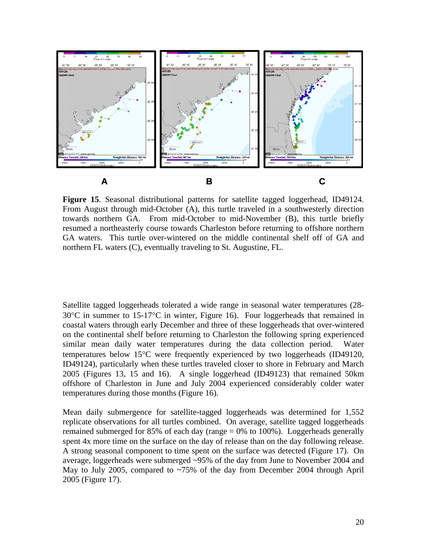

**Figure 15**. Seasonal distributional patterns for satellite tagged loggerhead, ID49124. From August through mid-October (A), this turtle traveled in a southwesterly direction towards northern GA. From mid-October to mid-November (B), this turtle briefly resumed a northeasterly course towards Charleston before returning to offshore northern GA waters. This turtle over-wintered on the middle continental shelf off of GA and northern FL waters (C), eventually traveling to St. Augustine, FL.

Satellite tagged loggerheads tolerated a wide range in seasonal water temperatures (28- 30°C in summer to 15-17°C in winter, Figure 16). Four loggerheads that remained in coastal waters through early December and three of these loggerheads that over-wintered on the continental shelf before returning to Charleston the following spring experienced similar mean daily water temperatures during the data collection period. Water temperatures below 15°C were frequently experienced by two loggerheads (ID49120, ID49124), particularly when these turtles traveled closer to shore in February and March 2005 (Figures 13, 15 and 16). A single loggerhead (ID49123) that remained 50km offshore of Charleston in June and July 2004 experienced considerably colder water temperatures during those months (Figure 16).

Mean daily submergence for satellite-tagged loggerheads was determined for 1,552 replicate observations for all turtles combined. On average, satellite tagged loggerheads remained submerged for 85% of each day (range = 0% to 100%). Loggerheads generally spent 4x more time on the surface on the day of release than on the day following release. A strong seasonal component to time spent on the surface was detected (Figure 17). On average, loggerheads were submerged ~95% of the day from June to November 2004 and May to July 2005, compared to ~75% of the day from December 2004 through April 2005 (Figure 17).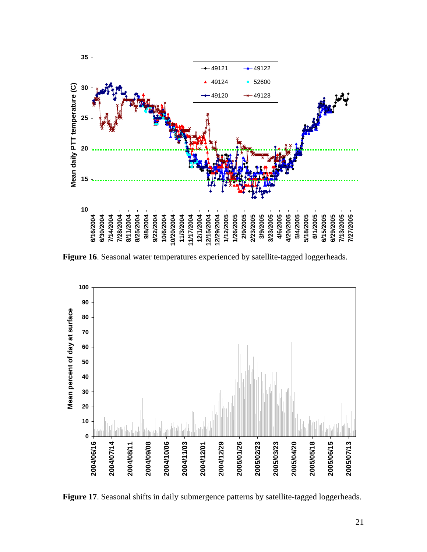

**Figure 16**. Seasonal water temperatures experienced by satellite-tagged loggerheads.



**Figure 17**. Seasonal shifts in daily submergence patterns by satellite-tagged loggerheads.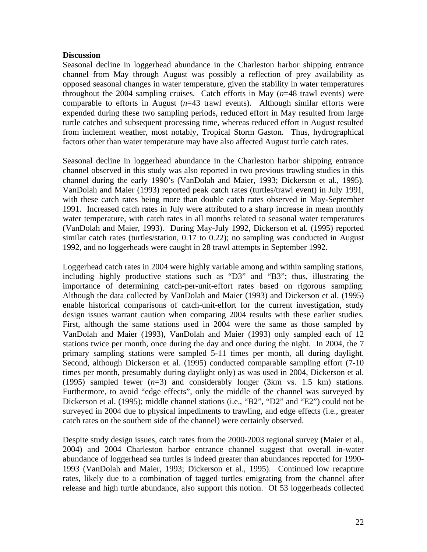#### **Discussion**

Seasonal decline in loggerhead abundance in the Charleston harbor shipping entrance channel from May through August was possibly a reflection of prey availability as opposed seasonal changes in water temperature, given the stability in water temperatures throughout the 2004 sampling cruises. Catch efforts in May (*n*=48 trawl events) were comparable to efforts in August (*n*=43 trawl events). Although similar efforts were expended during these two sampling periods, reduced effort in May resulted from large turtle catches and subsequent processing time, whereas reduced effort in August resulted from inclement weather, most notably, Tropical Storm Gaston. Thus, hydrographical factors other than water temperature may have also affected August turtle catch rates.

Seasonal decline in loggerhead abundance in the Charleston harbor shipping entrance channel observed in this study was also reported in two previous trawling studies in this channel during the early 1990's (VanDolah and Maier, 1993; Dickerson et al., 1995). VanDolah and Maier (1993) reported peak catch rates (turtles/trawl event) in July 1991, with these catch rates being more than double catch rates observed in May-September 1991. Increased catch rates in July were attributed to a sharp increase in mean monthly water temperature, with catch rates in all months related to seasonal water temperatures (VanDolah and Maier, 1993). During May-July 1992, Dickerson et al. (1995) reported similar catch rates (turtles/station, 0.17 to 0.22); no sampling was conducted in August 1992, and no loggerheads were caught in 28 trawl attempts in September 1992.

Loggerhead catch rates in 2004 were highly variable among and within sampling stations, including highly productive stations such as "D3" and "B3"; thus, illustrating the importance of determining catch-per-unit-effort rates based on rigorous sampling. Although the data collected by VanDolah and Maier (1993) and Dickerson et al. (1995) enable historical comparisons of catch-unit-effort for the current investigation, study design issues warrant caution when comparing 2004 results with these earlier studies. First, although the same stations used in 2004 were the same as those sampled by VanDolah and Maier (1993), VanDolah and Maier (1993) only sampled each of 12 stations twice per month, once during the day and once during the night. In 2004, the 7 primary sampling stations were sampled 5-11 times per month, all during daylight. Second, although Dickerson et al. (1995) conducted comparable sampling effort (7-10 times per month, presumably during daylight only) as was used in 2004, Dickerson et al. (1995) sampled fewer (*n*=3) and considerably longer (3km vs. 1.5 km) stations. Furthermore, to avoid "edge effects", only the middle of the channel was surveyed by Dickerson et al. (1995); middle channel stations (i.e., "B2", "D2" and "E2") could not be surveyed in 2004 due to physical impediments to trawling, and edge effects (i.e., greater catch rates on the southern side of the channel) were certainly observed.

Despite study design issues, catch rates from the 2000-2003 regional survey (Maier et al., 2004) and 2004 Charleston harbor entrance channel suggest that overall in-water abundance of loggerhead sea turtles is indeed greater than abundances reported for 1990- 1993 (VanDolah and Maier, 1993; Dickerson et al., 1995). Continued low recapture rates, likely due to a combination of tagged turtles emigrating from the channel after release and high turtle abundance, also support this notion. Of 53 loggerheads collected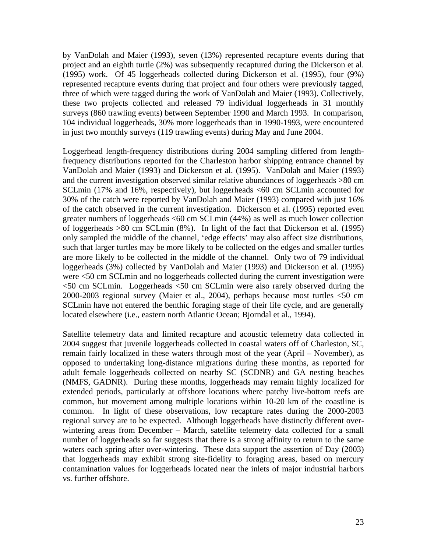by VanDolah and Maier (1993), seven (13%) represented recapture events during that project and an eighth turtle (2%) was subsequently recaptured during the Dickerson et al. (1995) work. Of 45 loggerheads collected during Dickerson et al. (1995), four (9%) represented recapture events during that project and four others were previously tagged, three of which were tagged during the work of VanDolah and Maier (1993). Collectively, these two projects collected and released 79 individual loggerheads in 31 monthly surveys (860 trawling events) between September 1990 and March 1993. In comparison, 104 individual loggerheads, 30% more loggerheads than in 1990-1993, were encountered in just two monthly surveys (119 trawling events) during May and June 2004.

Loggerhead length-frequency distributions during 2004 sampling differed from lengthfrequency distributions reported for the Charleston harbor shipping entrance channel by VanDolah and Maier (1993) and Dickerson et al. (1995). VanDolah and Maier (1993) and the current investigation observed similar relative abundances of loggerheads >80 cm SCLmin (17% and 16%, respectively), but loggerheads <60 cm SCLmin accounted for 30% of the catch were reported by VanDolah and Maier (1993) compared with just 16% of the catch observed in the current investigation. Dickerson et al. (1995) reported even greater numbers of loggerheads <60 cm SCLmin (44%) as well as much lower collection of loggerheads >80 cm SCLmin (8%). In light of the fact that Dickerson et al. (1995) only sampled the middle of the channel, 'edge effects' may also affect size distributions, such that larger turtles may be more likely to be collected on the edges and smaller turtles are more likely to be collected in the middle of the channel. Only two of 79 individual loggerheads (3%) collected by VanDolah and Maier (1993) and Dickerson et al. (1995) were <50 cm SCLmin and no loggerheads collected during the current investigation were <50 cm SCLmin. Loggerheads <50 cm SCLmin were also rarely observed during the 2000-2003 regional survey (Maier et al., 2004), perhaps because most turtles <50 cm SCLmin have not entered the benthic foraging stage of their life cycle, and are generally located elsewhere (i.e., eastern north Atlantic Ocean; Bjorndal et al., 1994).

Satellite telemetry data and limited recapture and acoustic telemetry data collected in 2004 suggest that juvenile loggerheads collected in coastal waters off of Charleston, SC, remain fairly localized in these waters through most of the year (April – November), as opposed to undertaking long-distance migrations during these months, as reported for adult female loggerheads collected on nearby SC (SCDNR) and GA nesting beaches (NMFS, GADNR). During these months, loggerheads may remain highly localized for extended periods, particularly at offshore locations where patchy live-bottom reefs are common, but movement among multiple locations within 10-20 km of the coastline is common. In light of these observations, low recapture rates during the 2000-2003 regional survey are to be expected. Although loggerheads have distinctly different overwintering areas from December – March, satellite telemetry data collected for a small number of loggerheads so far suggests that there is a strong affinity to return to the same waters each spring after over-wintering. These data support the assertion of Day (2003) that loggerheads may exhibit strong site-fidelity to foraging areas, based on mercury contamination values for loggerheads located near the inlets of major industrial harbors vs. further offshore.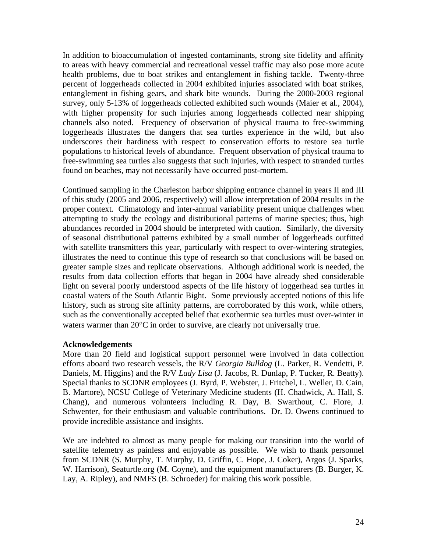In addition to bioaccumulation of ingested contaminants, strong site fidelity and affinity to areas with heavy commercial and recreational vessel traffic may also pose more acute health problems, due to boat strikes and entanglement in fishing tackle. Twenty-three percent of loggerheads collected in 2004 exhibited injuries associated with boat strikes, entanglement in fishing gears, and shark bite wounds. During the 2000-2003 regional survey, only 5-13% of loggerheads collected exhibited such wounds (Maier et al., 2004), with higher propensity for such injuries among loggerheads collected near shipping channels also noted. Frequency of observation of physical trauma to free-swimming loggerheads illustrates the dangers that sea turtles experience in the wild, but also underscores their hardiness with respect to conservation efforts to restore sea turtle populations to historical levels of abundance. Frequent observation of physical trauma to free-swimming sea turtles also suggests that such injuries, with respect to stranded turtles found on beaches, may not necessarily have occurred post-mortem.

Continued sampling in the Charleston harbor shipping entrance channel in years II and III of this study (2005 and 2006, respectively) will allow interpretation of 2004 results in the proper context. Climatology and inter-annual variability present unique challenges when attempting to study the ecology and distributional patterns of marine species; thus, high abundances recorded in 2004 should be interpreted with caution. Similarly, the diversity of seasonal distributional patterns exhibited by a small number of loggerheads outfitted with satellite transmitters this year, particularly with respect to over-wintering strategies, illustrates the need to continue this type of research so that conclusions will be based on greater sample sizes and replicate observations. Although additional work is needed, the results from data collection efforts that began in 2004 have already shed considerable light on several poorly understood aspects of the life history of loggerhead sea turtles in coastal waters of the South Atlantic Bight. Some previously accepted notions of this life history, such as strong site affinity patterns, are corroborated by this work, while others, such as the conventionally accepted belief that exothermic sea turtles must over-winter in waters warmer than 20°C in order to survive, are clearly not universally true.

#### **Acknowledgements**

More than 20 field and logistical support personnel were involved in data collection efforts aboard two research vessels, the R/V *Georgia Bulldog* (L. Parker, R. Vendetti, P. Daniels, M. Higgins) and the R/V *Lady Lisa* (J. Jacobs, R. Dunlap, P. Tucker, R. Beatty). Special thanks to SCDNR employees (J. Byrd, P. Webster, J. Fritchel, L. Weller, D. Cain, B. Martore), NCSU College of Veterinary Medicine students (H. Chadwick, A. Hall, S. Chang), and numerous volunteers including R. Day, B. Swarthout, C. Fiore, J. Schwenter, for their enthusiasm and valuable contributions. Dr. D. Owens continued to provide incredible assistance and insights.

We are indebted to almost as many people for making our transition into the world of satellite telemetry as painless and enjoyable as possible. We wish to thank personnel from SCDNR (S. Murphy, T. Murphy, D. Griffin, C. Hope, J. Coker), Argos (J. Sparks, W. Harrison), Seaturtle.org (M. Coyne), and the equipment manufacturers (B. Burger, K. Lay, A. Ripley), and NMFS (B. Schroeder) for making this work possible.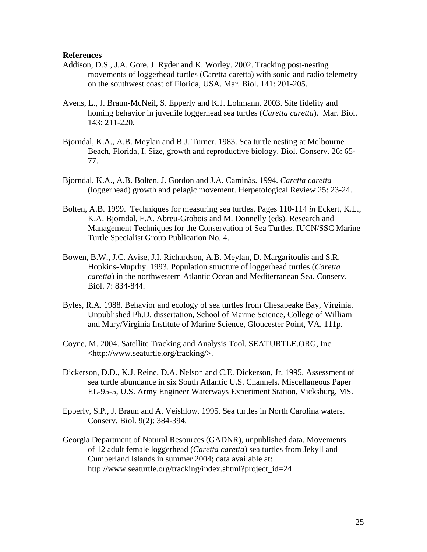#### **References**

- Addison, D.S., J.A. Gore, J. Ryder and K. Worley. 2002. Tracking post-nesting movements of loggerhead turtles (Caretta caretta) with sonic and radio telemetry on the southwest coast of Florida, USA. Mar. Biol. 141: 201-205.
- Avens, L., J. Braun-McNeil, S. Epperly and K.J. Lohmann. 2003. Site fidelity and homing behavior in juvenile loggerhead sea turtles (*Caretta caretta*). Mar. Biol. 143: 211-220.
- Bjorndal, K.A., A.B. Meylan and B.J. Turner. 1983. Sea turtle nesting at Melbourne Beach, Florida, I. Size, growth and reproductive biology. Biol. Conserv. 26: 65- 77.
- Bjorndal, K.A., A.B. Bolten, J. Gordon and J.A. Caminãs. 1994. *Caretta caretta* (loggerhead) growth and pelagic movement. Herpetological Review 25: 23-24.
- Bolten, A.B. 1999. Techniques for measuring sea turtles. Pages 110-114 *in* Eckert, K.L., K.A. Bjorndal, F.A. Abreu-Grobois and M. Donnelly (eds). Research and Management Techniques for the Conservation of Sea Turtles. IUCN/SSC Marine Turtle Specialist Group Publication No. 4.
- Bowen, B.W., J.C. Avise, J.I. Richardson, A.B. Meylan, D. Margaritoulis and S.R. Hopkins-Muprhy. 1993. Population structure of loggerhead turtles (*Caretta caretta*) in the northwestern Atlantic Ocean and Mediterranean Sea. Conserv. Biol. 7: 834-844.
- Byles, R.A. 1988. Behavior and ecology of sea turtles from Chesapeake Bay, Virginia. Unpublished Ph.D. dissertation, School of Marine Science, College of William and Mary/Virginia Institute of Marine Science, Gloucester Point, VA, 111p.
- Coyne, M. 2004. Satellite Tracking and Analysis Tool. SEATURTLE.ORG, Inc. <http://www.seaturtle.org/tracking/>.
- Dickerson, D.D., K.J. Reine, D.A. Nelson and C.E. Dickerson, Jr. 1995. Assessment of sea turtle abundance in six South Atlantic U.S. Channels. Miscellaneous Paper EL-95-5, U.S. Army Engineer Waterways Experiment Station, Vicksburg, MS.
- Epperly, S.P., J. Braun and A. Veishlow. 1995. Sea turtles in North Carolina waters. Conserv. Biol. 9(2): 384-394.
- Georgia Department of Natural Resources (GADNR), unpublished data. Movements of 12 adult female loggerhead (*Caretta caretta*) sea turtles from Jekyll and Cumberland Islands in summer 2004; data available at: http://www.seaturtle.org/tracking/index.shtml?project\_id=24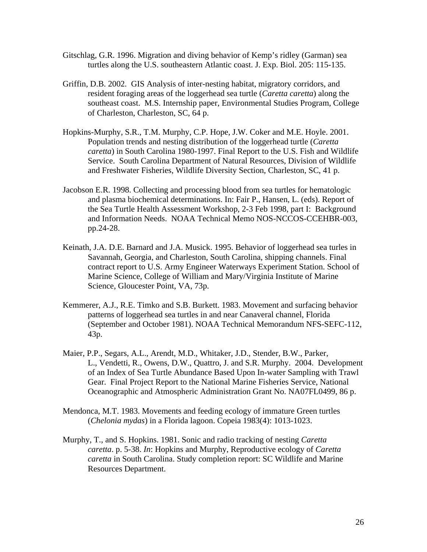- Gitschlag, G.R. 1996. Migration and diving behavior of Kemp's ridley (Garman) sea turtles along the U.S. southeastern Atlantic coast. J. Exp. Biol. 205: 115-135.
- Griffin, D.B. 2002. GIS Analysis of inter-nesting habitat, migratory corridors, and resident foraging areas of the loggerhead sea turtle (*Caretta caretta*) along the southeast coast. M.S. Internship paper, Environmental Studies Program, College of Charleston, Charleston, SC, 64 p.
- Hopkins-Murphy, S.R., T.M. Murphy, C.P. Hope, J.W. Coker and M.E. Hoyle. 2001. Population trends and nesting distribution of the loggerhead turtle (*Caretta caretta*) in South Carolina 1980-1997. Final Report to the U.S. Fish and Wildlife Service. South Carolina Department of Natural Resources, Division of Wildlife and Freshwater Fisheries, Wildlife Diversity Section, Charleston, SC, 41 p.
- Jacobson E.R. 1998. Collecting and processing blood from sea turtles for hematologic and plasma biochemical determinations. In: Fair P., Hansen, L. (eds). Report of the Sea Turtle Health Assessment Workshop, 2-3 Feb 1998, part I: Background and Information Needs. NOAA Technical Memo NOS-NCCOS-CCEHBR-003, pp.24-28.
- Keinath, J.A. D.E. Barnard and J.A. Musick. 1995. Behavior of loggerhead sea turles in Savannah, Georgia, and Charleston, South Carolina, shipping channels. Final contract report to U.S. Army Engineer Waterways Experiment Station. School of Marine Science, College of William and Mary/Virginia Institute of Marine Science, Gloucester Point, VA, 73p.
- Kemmerer, A.J., R.E. Timko and S.B. Burkett. 1983. Movement and surfacing behavior patterns of loggerhead sea turtles in and near Canaveral channel, Florida (September and October 1981). NOAA Technical Memorandum NFS-SEFC-112, 43p.
- Maier, P.P., Segars, A.L., Arendt, M.D., Whitaker, J.D., Stender, B.W., Parker, L., Vendetti, R., Owens, D.W., Quattro, J. and S.R. Murphy. 2004. Development of an Index of Sea Turtle Abundance Based Upon In-water Sampling with Trawl Gear. Final Project Report to the National Marine Fisheries Service, National Oceanographic and Atmospheric Administration Grant No. NA07FL0499, 86 p.
- Mendonca, M.T. 1983. Movements and feeding ecology of immature Green turtles (*Chelonia mydas*) in a Florida lagoon. Copeia 1983(4): 1013-1023.
- Murphy, T., and S. Hopkins. 1981. Sonic and radio tracking of nesting *Caretta caretta*. p. 5-38. *In*: Hopkins and Murphy, Reproductive ecology of *Caretta caretta* in South Carolina. Study completion report: SC Wildlife and Marine Resources Department.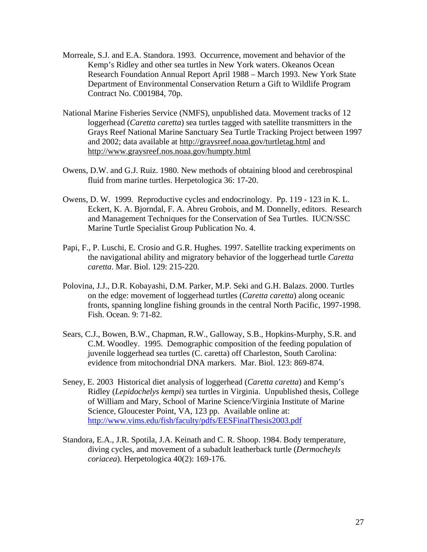- Morreale, S.J. and E.A. Standora. 1993. Occurrence, movement and behavior of the Kemp's Ridley and other sea turtles in New York waters. Okeanos Ocean Research Foundation Annual Report April 1988 – March 1993. New York State Department of Environmental Conservation Return a Gift to Wildlife Program Contract No. C001984, 70p.
- National Marine Fisheries Service (NMFS), unpublished data. Movement tracks of 12 loggerhead (*Caretta caretta*) sea turtles tagged with satellite transmitters in the Grays Reef National Marine Sanctuary Sea Turtle Tracking Project between 1997 and 2002; data available at http://graysreef.noaa.gov/turtletag.html and http://www.graysreef.nos.noaa.gov/humpty.html
- Owens, D.W. and G.J. Ruiz. 1980. New methods of obtaining blood and cerebrospinal fluid from marine turtles. Herpetologica 36: 17-20.
- Owens, D. W. 1999. Reproductive cycles and endocrinology. Pp. 119 123 in K. L. Eckert, K. A. Bjorndal, F. A. Abreu Grobois, and M. Donnelly, editors. Research and Management Techniques for the Conservation of Sea Turtles. IUCN/SSC Marine Turtle Specialist Group Publication No. 4.
- Papi, F., P. Luschi, E. Crosio and G.R. Hughes. 1997. Satellite tracking experiments on the navigational ability and migratory behavior of the loggerhead turtle *Caretta caretta*. Mar. Biol. 129: 215-220.
- Polovina, J.J., D.R. Kobayashi, D.M. Parker, M.P. Seki and G.H. Balazs. 2000. Turtles on the edge: movement of loggerhead turtles (*Caretta caretta*) along oceanic fronts, spanning longline fishing grounds in the central North Pacific, 1997-1998. Fish. Ocean. 9: 71-82.
- Sears, C.J., Bowen, B.W., Chapman, R.W., Galloway, S.B., Hopkins-Murphy, S.R. and C.M. Woodley. 1995. Demographic composition of the feeding population of juvenile loggerhead sea turtles (C. caretta) off Charleston, South Carolina: evidence from mitochondrial DNA markers. Mar. Biol. 123: 869-874.
- Seney, E. 2003 Historical diet analysis of loggerhead (*Caretta caretta*) and Kemp's Ridley (*Lepidochelys kempi*) sea turtles in Virginia. Unpublished thesis, College of William and Mary, School of Marine Science/Virginia Institute of Marine Science, Gloucester Point, VA, 123 pp. Available online at: http://www.vims.edu/fish/faculty/pdfs/EESFinalThesis2003.pdf
- Standora, E.A., J.R. Spotila, J.A. Keinath and C. R. Shoop. 1984. Body temperature, diving cycles, and movement of a subadult leatherback turtle (*Dermocheyls coriacea*). Herpetologica 40(2): 169-176.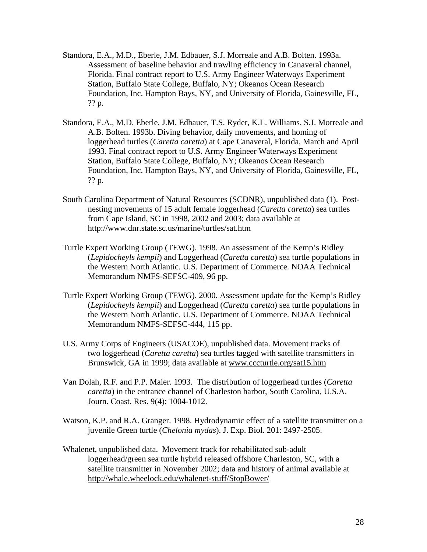- Standora, E.A., M.D., Eberle, J.M. Edbauer, S.J. Morreale and A.B. Bolten. 1993a. Assessment of baseline behavior and trawling efficiency in Canaveral channel, Florida. Final contract report to U.S. Army Engineer Waterways Experiment Station, Buffalo State College, Buffalo, NY; Okeanos Ocean Research Foundation, Inc. Hampton Bays, NY, and University of Florida, Gainesville, FL, ?? p.
- Standora, E.A., M.D. Eberle, J.M. Edbauer, T.S. Ryder, K.L. Williams, S.J. Morreale and A.B. Bolten. 1993b. Diving behavior, daily movements, and homing of loggerhead turtles (*Caretta caretta*) at Cape Canaveral, Florida, March and April 1993. Final contract report to U.S. Army Engineer Waterways Experiment Station, Buffalo State College, Buffalo, NY; Okeanos Ocean Research Foundation, Inc. Hampton Bays, NY, and University of Florida, Gainesville, FL, ?? p.
- South Carolina Department of Natural Resources (SCDNR), unpublished data (1). Postnesting movements of 15 adult female loggerhead (*Caretta caretta*) sea turtles from Cape Island, SC in 1998, 2002 and 2003; data available at http://www.dnr.state.sc.us/marine/turtles/sat.htm
- Turtle Expert Working Group (TEWG). 1998. An assessment of the Kemp's Ridley (*Lepidocheyls kempii*) and Loggerhead (*Caretta caretta*) sea turtle populations in the Western North Atlantic. U.S. Department of Commerce. NOAA Technical Memorandum NMFS-SEFSC-409, 96 pp.
- Turtle Expert Working Group (TEWG). 2000. Assessment update for the Kemp's Ridley (*Lepidocheyls kempii*) and Loggerhead (*Caretta caretta*) sea turtle populations in the Western North Atlantic. U.S. Department of Commerce. NOAA Technical Memorandum NMFS-SEFSC-444, 115 pp.
- U.S. Army Corps of Engineers (USACOE), unpublished data. Movement tracks of two loggerhead (*Caretta caretta*) sea turtles tagged with satellite transmitters in Brunswick, GA in 1999; data available at www.cccturtle.org/sat15.htm
- Van Dolah, R.F. and P.P. Maier. 1993. The distribution of loggerhead turtles (*Caretta caretta*) in the entrance channel of Charleston harbor, South Carolina, U.S.A. Journ. Coast. Res. 9(4): 1004-1012.
- Watson, K.P. and R.A. Granger. 1998. Hydrodynamic effect of a satellite transmitter on a juvenile Green turtle (*Chelonia mydas*). J. Exp. Biol. 201: 2497-2505.
- Whalenet, unpublished data. Movement track for rehabilitated sub-adult loggerhead/green sea turtle hybrid released offshore Charleston, SC, with a satellite transmitter in November 2002; data and history of animal available at http://whale.wheelock.edu/whalenet-stuff/StopBower/